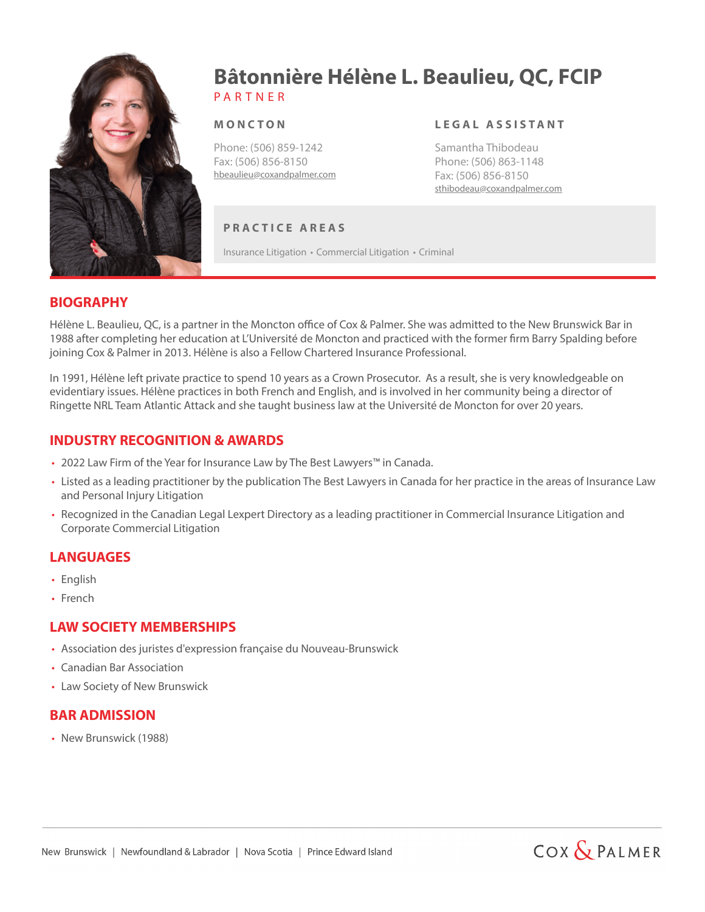

# P A R T N E R **Bâtonnière Hélène L. Beaulieu, QC, FCIP**

#### **M O N C T O N**

Phone: (506) 859-1242 Fax: (506) 856-8150 hbeaulieu@coxandpalmer.com

#### **L E G A L A S S I S TA N T**

Samantha Thibodeau Phone: (506) 863-1148 Fax: (506) 856-8150 sthibodeau@coxandpalmer.com

### **P R A C T I C E A R E A S**

Insurance Litigation • Commercial Litigation • Criminal

#### **BIOGRAPHY**

Hélène L. Beaulieu, QC, is a partner in the Moncton office of Cox & Palmer. She was admitted to the New Brunswick Bar in 1988 after completing her education at L'Université de Moncton and practiced with the former firm Barry Spalding before joining Cox & Palmer in 2013. Hélène is also a Fellow Chartered Insurance Professional.

In 1991, Hélène left private practice to spend 10 years as a Crown Prosecutor. As a result, she is very knowledgeable on evidentiary issues. Hélène practices in both French and English, and is involved in her community being a director of Ringette NRL Team Atlantic Attack and she taught business law at the Université de Moncton for over 20 years.

### **INDUSTRY RECOGNITION & AWARDS**

- 2022 Law Firm of the Year for Insurance Law by The Best Lawyers™ in Canada.
- Listed as a leading practitioner by the publication The Best Lawyers in Canada for her practice in the areas of Insurance Law and Personal Injury Litigation
- Recognized in the Canadian Legal Lexpert Directory as a leading practitioner in Commercial Insurance Litigation and Corporate Commercial Litigation

### **LANGUAGES**

- English
- French

### **LAW SOCIETY MEMBERSHIPS**

- Association des juristes d'expression française du Nouveau-Brunswick
- Canadian Bar Association
- Law Society of New Brunswick

### **BAR ADMISSION**

• New Brunswick (1988)